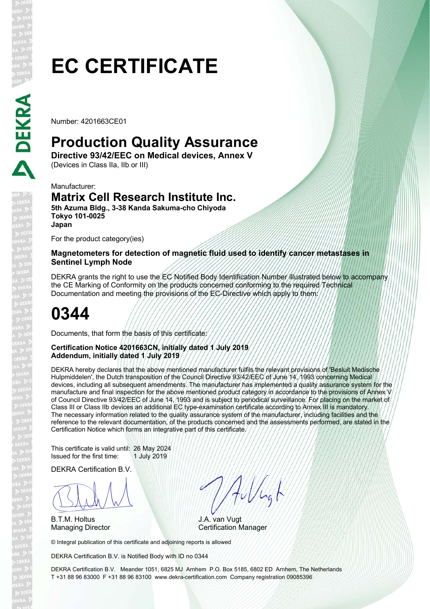# **EC CERTIFICATE**

Number: 4201663CE01

## **Production Quality Assurance**

**Directive 93/42/EEC on Medical devices, Annex V**  (Devices in Class IIa, IIb or III)

Manufacturer:

### **Matrix Cell Research Institute Inc.**

**5th Azuma Bldg., 3-38 Kanda Sakuma-cho Chiyoda Tokyo 101-0025 Japan**

For the product category(ies)

#### **Magnetometers for detection of magnetic fluid used to identify cancer metastases in Sentinel Lymph Node**

DEKRA grants the right to use the EC Notified Body Identification Number illustrated below to accompany the CE Marking of Conformity on the products concerned conforming to the required Technical Documentation and meeting the provisions of the EC-Directive which apply to them:

## **0344**

Documents, that form the basis of this certificate:

#### **Certification Notice 4201663CN, initially dated 1 July 2019 Addendum, initially dated 1 July 2019**

DEKRA hereby declares that the above mentioned manufacturer fulfils the relevant provisions of 'Besluit Medische Hulpmiddelen', the Dutch transposition of the Council Directive 93/42/EEC of June 14, 1993 concerning Medical devices, including all subsequent amendments. The manufacturer has implemented a quality assurance system for the manufacture and final inspection for the above mentioned product category in accordance to the provisions of Annex V of Council Directive 93/42/EEC of June 14, 1993 and is subject to periodical surveillance. For placing on the market of Class III or Class IIb devices an additional EC type-examination certificate according to Annex III is mandatory. The necessary information related to the quality assurance system of the manufacturer, including facilities and the reference to the relevant documentation, of the products concerned and the assessments performed, are stated in the Certification Notice which forms an integrative part of this certificate.

This certificate is valid until: 26 May 2024 Issued for the first time: 1 July 2019

DEKRA Certification B.V.

BLAN

B.T.M. Holtus

Aullugh

J.A. van Vugt Managing Director **Certification Manager** 

© Integral publication of this certificate and adjoining reports is allowed

DEKRA Certification B.V. is Notified Body with ID no 0344

DEKRA Certification B.V. Meander 1051, 6825 MJ Arnhem P.O. Box 5185, 6802 ED Arnhem, The Netherlands T +31 88 96 83000 F +31 88 96 83100 www.dekra-certification.com Company registration 09085396